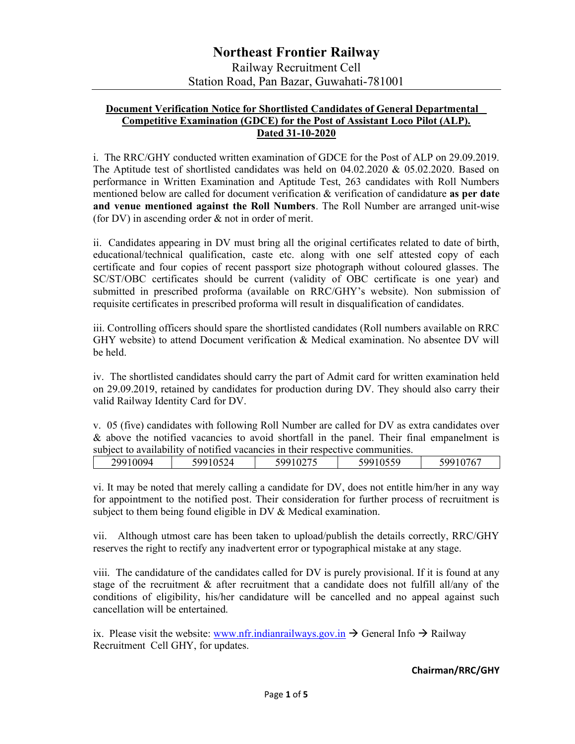#### Document Verification Notice for Shortlisted Candidates of General Departmental Competitive Examination (GDCE) for the Post of Assistant Loco Pilot (ALP). Dated 31-10-2020

i. The RRC/GHY conducted written examination of GDCE for the Post of ALP on 29.09.2019. The Aptitude test of shortlisted candidates was held on 04.02.2020 & 05.02.2020. Based on performance in Written Examination and Aptitude Test, 263 candidates with Roll Numbers mentioned below are called for document verification & verification of candidature as per date and venue mentioned against the Roll Numbers. The Roll Number are arranged unit-wise (for DV) in ascending order & not in order of merit.

ii. Candidates appearing in DV must bring all the original certificates related to date of birth, educational/technical qualification, caste etc. along with one self attested copy of each certificate and four copies of recent passport size photograph without coloured glasses. The SC/ST/OBC certificates should be current (validity of OBC certificate is one year) and submitted in prescribed proforma (available on RRC/GHY's website). Non submission of requisite certificates in prescribed proforma will result in disqualification of candidates.

iii. Controlling officers should spare the shortlisted candidates (Roll numbers available on RRC GHY website) to attend Document verification & Medical examination. No absentee DV will be held.

iv. The shortlisted candidates should carry the part of Admit card for written examination held on 29.09.2019, retained by candidates for production during DV. They should also carry their valid Railway Identity Card for DV.

v. 05 (five) candidates with following Roll Number are called for DV as extra candidates over & above the notified vacancies to avoid shortfall in the panel. Their final empanelment is subject to availability of notified vacancies in their respective communities.

| 200<br>⊿ | $ -$<br>۵α:<br>$\prime$ | 0.27 <sub>F</sub><br>500<br>$V = I$ | $\cap$ = = $\cap$<br>,,, | ----<br>500<br>$\cdot$ |
|----------|-------------------------|-------------------------------------|--------------------------|------------------------|
|          |                         |                                     |                          |                        |

vi. It may be noted that merely calling a candidate for DV, does not entitle him/her in any way for appointment to the notified post. Their consideration for further process of recruitment is subject to them being found eligible in DV & Medical examination.

vii. Although utmost care has been taken to upload/publish the details correctly, RRC/GHY reserves the right to rectify any inadvertent error or typographical mistake at any stage.

viii. The candidature of the candidates called for DV is purely provisional. If it is found at any stage of the recruitment & after recruitment that a candidate does not fulfill all/any of the conditions of eligibility, his/her candidature will be cancelled and no appeal against such cancellation will be entertained.

ix. Please visit the website: www.nfr.indianrailways.gov.in  $\rightarrow$  General Info  $\rightarrow$  Railway Recruitment Cell GHY, for updates.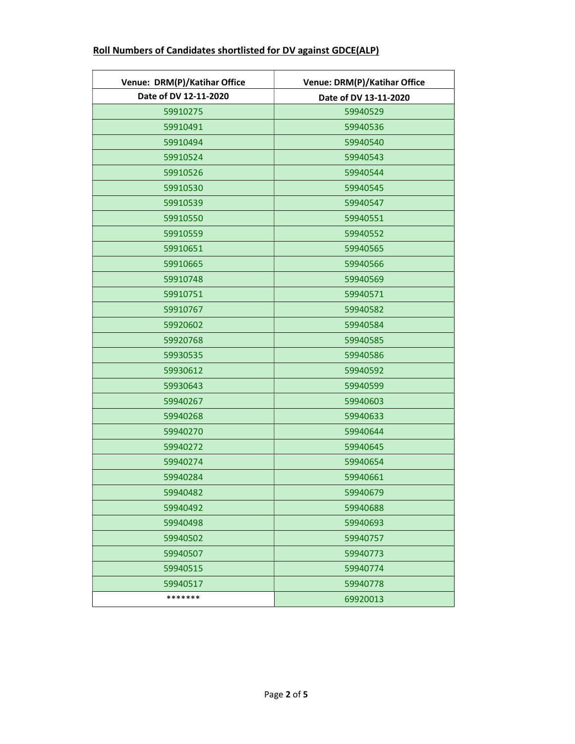| Venue: DRM(P)/Katihar Office | Venue: DRM(P)/Katihar Office |  |
|------------------------------|------------------------------|--|
| Date of DV 12-11-2020        | Date of DV 13-11-2020        |  |
| 59910275                     | 59940529                     |  |
| 59910491                     | 59940536                     |  |
| 59910494                     | 59940540                     |  |
| 59910524                     | 59940543                     |  |
| 59910526                     | 59940544                     |  |
| 59910530                     | 59940545                     |  |
| 59910539                     | 59940547                     |  |
| 59910550                     | 59940551                     |  |
| 59910559                     | 59940552                     |  |
| 59910651                     | 59940565                     |  |
| 59910665                     | 59940566                     |  |
| 59910748                     | 59940569                     |  |
| 59910751                     | 59940571                     |  |
| 59910767                     | 59940582                     |  |
| 59920602                     | 59940584                     |  |
| 59920768                     | 59940585                     |  |
| 59930535                     | 59940586                     |  |
| 59930612                     | 59940592                     |  |
| 59930643                     | 59940599                     |  |
| 59940267                     | 59940603                     |  |
| 59940268                     | 59940633                     |  |
| 59940270                     | 59940644                     |  |
| 59940272                     | 59940645                     |  |
| 59940274                     | 59940654                     |  |
| 59940284                     | 59940661                     |  |
| 59940482                     | 59940679                     |  |
| 59940492                     | 59940688                     |  |
| 59940498                     | 59940693                     |  |
| 59940502                     | 59940757                     |  |
| 59940507                     | 59940773                     |  |
| 59940515                     | 59940774                     |  |
| 59940517                     | 59940778                     |  |
| *******                      | 69920013                     |  |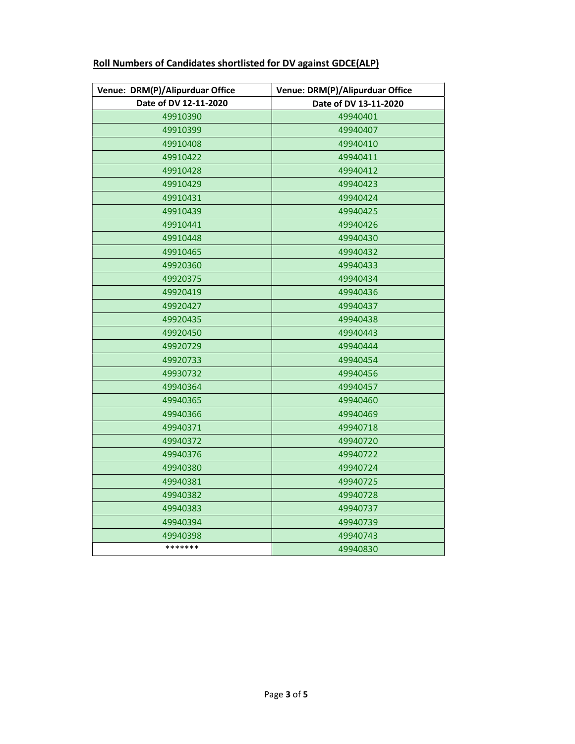| Venue: DRM(P)/Alipurduar Office | Venue: DRM(P)/Alipurduar Office |
|---------------------------------|---------------------------------|
| Date of DV 12-11-2020           | Date of DV 13-11-2020           |
| 49910390                        | 49940401                        |
| 49910399                        | 49940407                        |
| 49910408                        | 49940410                        |
| 49910422                        | 49940411                        |
| 49910428                        | 49940412                        |
| 49910429                        | 49940423                        |
| 49910431                        | 49940424                        |
| 49910439                        | 49940425                        |
| 49910441                        | 49940426                        |
| 49910448                        | 49940430                        |
| 49910465                        | 49940432                        |
| 49920360                        | 49940433                        |
| 49920375                        | 49940434                        |
| 49920419                        | 49940436                        |
| 49920427                        | 49940437                        |
| 49920435                        | 49940438                        |
| 49920450                        | 49940443                        |
| 49920729                        | 49940444                        |
| 49920733                        | 49940454                        |
| 49930732                        | 49940456                        |
| 49940364                        | 49940457                        |
| 49940365                        | 49940460                        |
| 49940366                        | 49940469                        |
| 49940371                        | 49940718                        |
| 49940372                        | 49940720                        |
| 49940376                        | 49940722                        |
| 49940380                        | 49940724                        |
| 49940381                        | 49940725                        |
| 49940382                        | 49940728                        |
| 49940383                        | 49940737                        |
| 49940394                        | 49940739                        |
| 49940398                        | 49940743                        |
| *******                         | 49940830                        |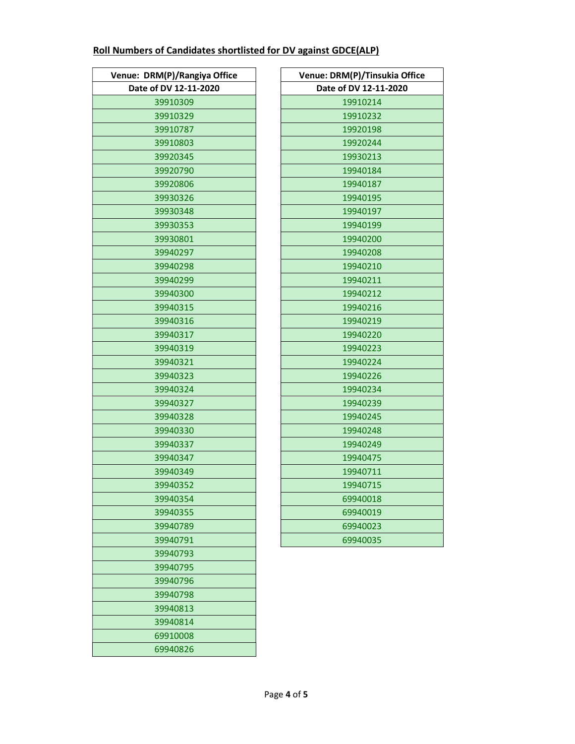| Venue: DRM(P)/Rangiya Office |
|------------------------------|
| Date of DV 12-11-2020        |
| 39910309                     |
| 39910329                     |
| 39910787                     |
| 39910803                     |
| 39920345                     |
| 39920790                     |
| 39920806                     |
| 39930326                     |
| 39930348                     |
| 39930353                     |
| 39930801                     |
| 39940297                     |
| 39940298                     |
| 39940299                     |
| 39940300                     |
| 39940315                     |
| 39940316                     |
| 39940317                     |
| 39940319                     |
| 39940321                     |
| 39940323                     |
| 39940324                     |
| 39940327                     |
| 39940328                     |
| 39940330                     |
| 39940337                     |
| 39940347                     |
| 39940349                     |
| 39940352                     |
| 39940354                     |
| 39940355                     |
| 39940789                     |
| 39940791                     |
| 39940793                     |
| 39940795                     |
| 39940796                     |
| 39940798                     |
| 39940813                     |
| 39940814                     |
| 69910008                     |
| 69940826                     |

| Venue: DRM(P)/Rangiya Office | Venue: DRM(P)/Tinsukia Office |
|------------------------------|-------------------------------|
| Date of DV 12-11-2020        | Date of DV 12-11-2020         |
| 39910309                     | 19910214                      |
| 39910329                     | 19910232                      |
| 39910787                     | 19920198                      |
| 39910803                     | 19920244                      |
| 39920345                     | 19930213                      |
| 39920790                     | 19940184                      |
| 39920806                     | 19940187                      |
| 39930326                     | 19940195                      |
| 39930348                     | 19940197                      |
| 39930353                     | 19940199                      |
| 39930801                     | 19940200                      |
| 39940297                     | 19940208                      |
| 39940298                     | 19940210                      |
| 39940299                     | 19940211                      |
| 39940300                     | 19940212                      |
| 39940315                     | 19940216                      |
| 39940316                     | 19940219                      |
| 39940317                     | 19940220                      |
| 39940319                     | 19940223                      |
| 39940321                     | 19940224                      |
| 39940323                     | 19940226                      |
| 39940324                     | 19940234                      |
| 39940327                     | 19940239                      |
| 39940328                     | 19940245                      |
| 39940330                     | 19940248                      |
| 39940337                     | 19940249                      |
| 39940347                     | 19940475                      |
| 39940349                     | 19940711                      |
| 39940352                     | 19940715                      |
| 39940354                     | 69940018                      |
| 39940355                     | 69940019                      |
| 39940789                     | 69940023                      |
| 39940791                     | 69940035                      |